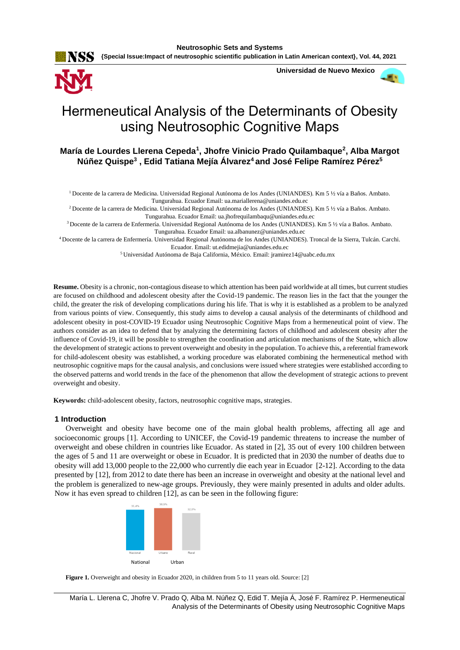**Neutrosophic Sets and Systems {Special Issue:Impact of neutrosophic scientific publication in Latin American context}, Vol. 44, 2021**



**Universidad de Nuevo Mexico**



# Hermeneutical Analysis of the Determinants of Obesity using Neutrosophic Cognitive Maps

**María de Lourdes Llerena Cepeda<sup>1</sup> , Jhofre Vinicio Prado Quilambaque<sup>2</sup> , Alba Margot Núñez Quispe<sup>3</sup> , Edid Tatiana Mejía Álvarez<sup>4</sup>and José Felipe Ramírez Pérez<sup>5</sup>**

<sup>1</sup>Docente de la carrera de Medicina. Universidad Regional Autónoma de los Andes (UNIANDES). Km 5 ½ vía a Baños. Ambato. Tungurahua. Ecuador Email: [ua.mariallerena@uniandes.edu.ec](mailto:ua.mariallerena@uniandes.edu.ec)

<sup>2</sup>Docente de la carrera de Medicina. Universidad Regional Autónoma de los Andes (UNIANDES). Km 5 ½ vía a Baños. Ambato. Tungurahua. Ecuador Email[: ua.jhofrequilambaqu@uniandes.edu.ec](mailto:ua.jhofrequilambaqu@uniandes.edu.ec)

<sup>3</sup>Docente de la carrera de Enfermería. Universidad Regional Autónoma de los Andes (UNIANDES). Km 5 ½ vía a Baños. Ambato. Tungurahua. Ecuador Email: [ua.albanunez@uniandes.edu.ec](mailto:ua.albanunez@uniandes.edu.ec)

<sup>4</sup>Docente de la carrera de Enfermería. Universidad Regional Autónoma de los Andes (UNIANDES). Troncal de la Sierra, Tulcán. Carchi.

Ecuador. Email[: ut.edidmejia@uniandes.edu.ec](mailto:ut.edidmejia@uniandes.edu.ec)

<sup>5</sup> Universidad Autónoma de Baja California, México. Email: [jramirez14@uabc.edu.mx](mailto:jramirez14@uabc.edu.mx)

**Resume.** Obesity is a chronic, non-contagious disease to which attention has been paid worldwide at all times, but current studies are focused on childhood and adolescent obesity after the Covid-19 pandemic. The reason lies in the fact that the younger the child, the greater the risk of developing complications during his life. That is why it is established as a problem to be analyzed from various points of view. Consequently, this study aims to develop a causal analysis of the determinants of childhood and adolescent obesity in post-COVID-19 Ecuador using Neutrosophic Cognitive Maps from a hermeneutical point of view. The authors consider as an idea to defend that by analyzing the determining factors of childhood and adolescent obesity after the influence of Covid-19, it will be possible to strengthen the coordination and articulation mechanisms of the State, which allow the development of strategic actions to prevent overweight and obesity in the population. To achieve this, a referential framework for child-adolescent obesity was established, a working procedure was elaborated combining the hermeneutical method with neutrosophic cognitive maps for the causal analysis, and conclusions were issued where strategies were established according to the observed patterns and world trends in the face of the phenomenon that allow the development of strategic actions to prevent overweight and obesity.

**Keywords:** child-adolescent obesity, factors, neutrosophic cognitive maps, strategies.

## **1 Introduction**

Overweight and obesity have become one of the main global health problems, affecting all age and socioeconomic groups [\[1\]](#page-7-0). According to UNICEF, the Covid-19 pandemic threatens to increase the number of overweight and obese children in countries like Ecuador. As stated in [\[2\]](#page-8-0), 35 out of every 100 children between the ages of 5 and 11 are overweight or obese in Ecuador. It is predicted that in 2030 the number of deaths due to obesity will add 13,000 people to the 22,000 who currently die each year in Ecuador [\[2-12\]](#page-8-0). According to the data presented by [\[12\]](#page-8-1), from 2012 to date there has been an increase in overweight and obesity at the national level and the problem is generalized to new-age groups. Previously, they were mainly presented in adults and older adults. Now it has even spread to children [\[12\]](#page-8-1), as can be seen in the following figure:



Figure 1. Overweight and obesity in Ecuador 2020, in children from 5 to 11 years old. Source: [\[2\]](#page-8-0)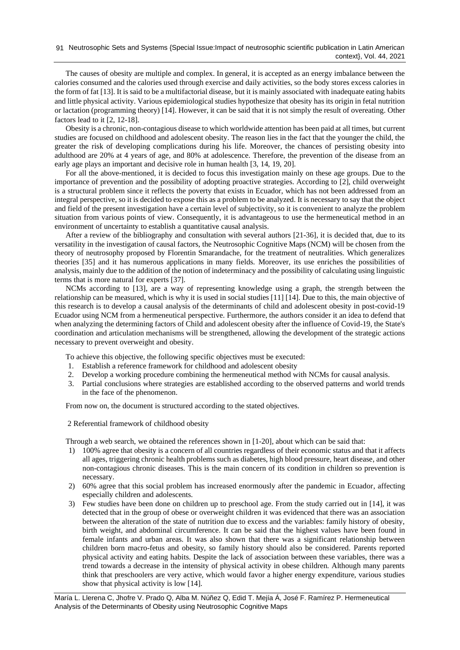The causes of obesity are multiple and complex. In general, it is accepted as an energy imbalance between the calories consumed and the calories used through exercise and daily activities, so the body stores excess calories in the form of fat [\[13\]](#page-8-2). It is said to be a multifactorial disease, but it is mainly associated with inadequate eating habits and little physical activity. Various epidemiological studies hypothesize that obesity has its origin in fetal nutrition or lactation (programming theory) [\[14\]](#page-8-3). However, it can be said that it is not simply the result of overeating. Other factors lead to it [\[2,](#page-8-0) [12-18\]](#page-8-1).

Obesity is a chronic, non-contagious disease to which worldwide attention has been paid at all times, but current studies are focused on childhood and adolescent obesity. The reason lies in the fact that the younger the child, the greater the risk of developing complications during his life. Moreover, the chances of persisting obesity into adulthood are 20% at 4 years of age, and 80% at adolescence. Therefore, the prevention of the disease from an early age plays an important and decisive role in human health [\[3,](#page-8-4) [14,](#page-8-3) [19,](#page-8-5) [20\]](#page-8-6).

For all the above-mentioned, it is decided to focus this investigation mainly on these age groups. Due to the importance of prevention and the possibility of adopting proactive strategies. According to [\[2\]](#page-8-0), child overweight is a structural problem since it reflects the poverty that exists in Ecuador, which has not been addressed from an integral perspective, so it is decided to expose this as a problem to be analyzed. It is necessary to say that the object and field of the present investigation have a certain level of subjectivity, so it is convenient to analyze the problem situation from various points of view. Consequently, it is advantageous to use the hermeneutical method in an environment of uncertainty to establish a quantitative causal analysis.

After a review of the bibliography and consultation with several authors [\[21-36\]](#page-8-7), it is decided that, due to its versatility in the investigation of causal factors, the Neutrosophic Cognitive Maps (NCM) will be chosen from the theory of neutrosophy proposed by Florentin Smarandache, for the treatment of neutralities. Which generalizes theories [\[35\]](#page-9-0) and it has numerous applications in many fields. Moreover, its use enriches the possibilities of analysis, mainly due to the addition of the notion of indeterminacy and the possibility of calculating using linguistic terms that is more natural for experts [\[37\]](#page-9-1).

NCMs according to [13], are a way of representing knowledge using a graph, the strength between the relationship can be measured, which is why it is used in social studies [11] [14]. Due to this, the main objective of this research is to develop a causal analysis of the determinants of child and adolescent obesity in post-covid-19 Ecuador using NCM from a hermeneutical perspective. Furthermore, the authors consider it an idea to defend that when analyzing the determining factors of Child and adolescent obesity after the influence of Covid-19, the State's coordination and articulation mechanisms will be strengthened, allowing the development of the strategic actions necessary to prevent overweight and obesity.

To achieve this objective, the following specific objectives must be executed:

- 1. Establish a reference framework for childhood and adolescent obesity
- 2. Develop a working procedure combining the hermeneutical method with NCMs for causal analysis.
- 3. Partial conclusions where strategies are established according to the observed patterns and world trends in the face of the phenomenon.

From now on, the document is structured according to the stated objectives.

2 Referential framework of childhood obesity

Through a web search, we obtained the references shown in [\[1-20\]](#page-7-0), about which can be said that:

- 1) 100% agree that obesity is a concern of all countries regardless of their economic status and that it affects all ages, triggering chronic health problems such as diabetes, high blood pressure, heart disease, and other non-contagious chronic diseases. This is the main concern of its condition in children so prevention is necessary.
- 2) 60% agree that this social problem has increased enormously after the pandemic in Ecuador, affecting especially children and adolescents.
- 3) Few studies have been done on children up to preschool age. From the study carried out in [\[14\]](#page-8-3), it was detected that in the group of obese or overweight children it was evidenced that there was an association between the alteration of the state of nutrition due to excess and the variables: family history of obesity, birth weight, and abdominal circumference. It can be said that the highest values have been found in female infants and urban areas. It was also shown that there was a significant relationship between children born macro-fetus and obesity, so family history should also be considered. Parents reported physical activity and eating habits. Despite the lack of association between these variables, there was a trend towards a decrease in the intensity of physical activity in obese children. Although many parents think that preschoolers are very active, which would favor a higher energy expenditure, various studies show that physical activity is low [\[14\]](#page-8-3).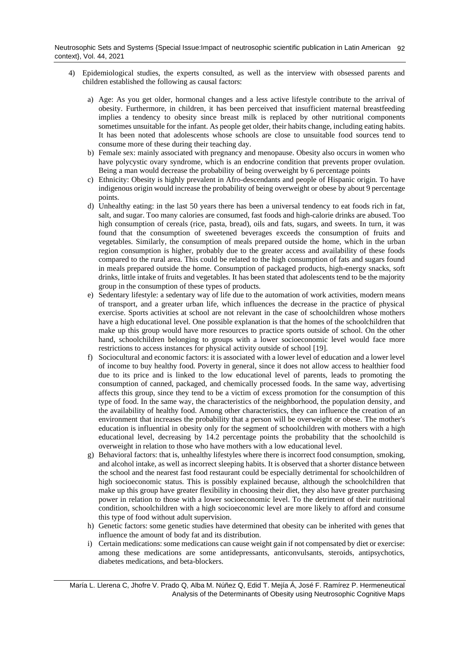- 4) Epidemiological studies, the experts consulted, as well as the interview with obsessed parents and children established the following as causal factors:
	- a) Age: As you get older, hormonal changes and a less active lifestyle contribute to the arrival of obesity. Furthermore, in children, it has been perceived that insufficient maternal breastfeeding implies a tendency to obesity since breast milk is replaced by other nutritional components sometimes unsuitable for the infant. As people get older, their habits change, including eating habits. It has been noted that adolescents whose schools are close to unsuitable food sources tend to consume more of these during their teaching day.
	- b) Female sex: mainly associated with pregnancy and menopause. Obesity also occurs in women who have polycystic ovary syndrome, which is an endocrine condition that prevents proper ovulation. Being a man would decrease the probability of being overweight by 6 percentage points
	- c) Ethnicity: Obesity is highly prevalent in Afro-descendants and people of Hispanic origin. To have indigenous origin would increase the probability of being overweight or obese by about 9 percentage points.
	- d) Unhealthy eating: in the last 50 years there has been a universal tendency to eat foods rich in fat, salt, and sugar. Too many calories are consumed, fast foods and high-calorie drinks are abused. Too high consumption of cereals (rice, pasta, bread), oils and fats, sugars, and sweets. In turn, it was found that the consumption of sweetened beverages exceeds the consumption of fruits and vegetables. Similarly, the consumption of meals prepared outside the home, which in the urban region consumption is higher, probably due to the greater access and availability of these foods compared to the rural area. This could be related to the high consumption of fats and sugars found in meals prepared outside the home. Consumption of packaged products, high-energy snacks, soft drinks, little intake of fruits and vegetables. It has been stated that adolescents tend to be the majority group in the consumption of these types of products.
	- e) Sedentary lifestyle: a sedentary way of life due to the automation of work activities, modern means of transport, and a greater urban life, which influences the decrease in the practice of physical exercise. Sports activities at school are not relevant in the case of schoolchildren whose mothers have a high educational level. One possible explanation is that the homes of the schoolchildren that make up this group would have more resources to practice sports outside of school. On the other hand, schoolchildren belonging to groups with a lower socioeconomic level would face more restrictions to access instances for physical activity outside of school [\[19\]](#page-8-5).
	- f) Sociocultural and economic factors: it is associated with a lower level of education and a lower level of income to buy healthy food. Poverty in general, since it does not allow access to healthier food due to its price and is linked to the low educational level of parents, leads to promoting the consumption of canned, packaged, and chemically processed foods. In the same way, advertising affects this group, since they tend to be a victim of excess promotion for the consumption of this type of food. In the same way, the characteristics of the neighborhood, the population density, and the availability of healthy food. Among other characteristics, they can influence the creation of an environment that increases the probability that a person will be overweight or obese. The mother's education is influential in obesity only for the segment of schoolchildren with mothers with a high educational level, decreasing by 14.2 percentage points the probability that the schoolchild is overweight in relation to those who have mothers with a low educational level.
	- g) Behavioral factors: that is, unhealthy lifestyles where there is incorrect food consumption, smoking, and alcohol intake, as well as incorrect sleeping habits. It is observed that a shorter distance between the school and the nearest fast food restaurant could be especially detrimental for schoolchildren of high socioeconomic status. This is possibly explained because, although the schoolchildren that make up this group have greater flexibility in choosing their diet, they also have greater purchasing power in relation to those with a lower socioeconomic level. To the detriment of their nutritional condition, schoolchildren with a high socioeconomic level are more likely to afford and consume this type of food without adult supervision.
	- h) Genetic factors: some genetic studies have determined that obesity can be inherited with genes that influence the amount of body fat and its distribution.
	- i) Certain medications: some medications can cause weight gain if not compensated by diet or exercise: among these medications are some antidepressants, anticonvulsants, steroids, antipsychotics, diabetes medications, and beta-blockers.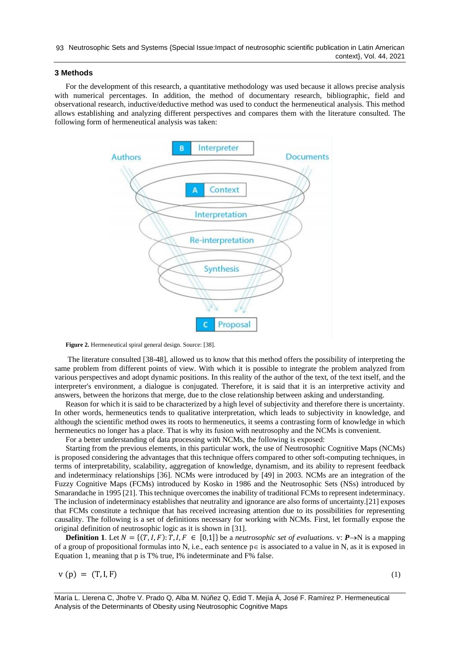### **3 Methods**

For the development of this research, a quantitative methodology was used because it allows precise analysis with numerical percentages. In addition, the method of documentary research, bibliographic, field and observational research, inductive/deductive method was used to conduct the hermeneutical analysis. This method allows establishing and analyzing different perspectives and compares them with the literature consulted. The following form of hermeneutical analysis was taken:



Figure 2. Hermeneutical spiral general design. Source: [\[38\]](#page-9-2).

The literature consulted [\[38-48\]](#page-9-2), allowed us to know that this method offers the possibility of interpreting the same problem from different points of view. With which it is possible to integrate the problem analyzed from various perspectives and adopt dynamic positions. In this reality of the author of the text, of the text itself, and the interpreter's environment, a dialogue is conjugated. Therefore, it is said that it is an interpretive activity and answers, between the horizons that merge, due to the close relationship between asking and understanding.

Reason for which it is said to be characterized by a high level of subjectivity and therefore there is uncertainty. In other words, hermeneutics tends to qualitative interpretation, which leads to subjectivity in knowledge, and although the scientific method owes its roots to hermeneutics, it seems a contrasting form of knowledge in which hermeneutics no longer has a place. That is why its fusion with neutrosophy and the NCMs is convenient.

For a better understanding of data processing with NCMs, the following is exposed:

Starting from the previous elements, in this particular work, the use of Neutrosophic Cognitive Maps (NCMs) is proposed considering the advantages that this technique offers compared to other soft-computing techniques, in terms of interpretability, scalability, aggregation of knowledge, dynamism, and its ability to represent feedback and indeterminacy relationships [\[36\]](#page-9-3). NCMs were introduced by [\[49\]](#page-9-4) in 2003. NCMs are an integration of the Fuzzy Cognitive Maps (FCMs) introduced by Kosko in 1986 and the Neutrosophic Sets (NSs) introduced by Smarandache in 1995 [\[21\]](#page-8-7). This technique overcomes the inability of traditional FCMs to represent indeterminacy. The inclusion of indeterminacy establishes that neutrality and ignorance are also forms of uncertainty.[\[21\]](#page-8-7) exposes that FCMs constitute a technique that has received increasing attention due to its possibilities for representing causality. The following is a set of definitions necessary for working with NCMs. First, let formally expose the original definition of neutrosophic logic as it is shown in [\[31\]](#page-9-5).

**Definition 1**. Let  $N = \{(T, I, F): T, I, F \in [0,1]\}$  be a *neutrosophic set of evaluations*. v:  $P \rightarrow N$  is a mapping of a group of propositional formulas into N, i.e., each sentence  $p \in i$  associated to a value in N, as it is exposed in Equation 1, meaning that p is T% true, I% indeterminate and F% false.

$$
v(p) = (T, I, F) \tag{1}
$$

María L. Llerena C, Jhofre V. Prado Q, Alba M. Núñez Q, Edid T. Mejía Á, José F. Ramírez P. Hermeneutical Analysis of the Determinants of Obesity using Neutrosophic Cognitive Maps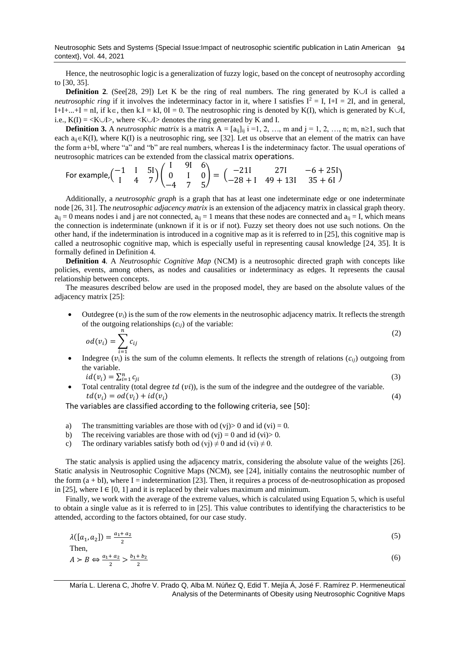Neutrosophic Sets and Systems {Special Issue:Impact of neutrosophic scientific publication in Latin American 94 context}, Vol. 44, 2021

Hence, the neutrosophic logic is a generalization of fuzzy logic, based on the concept of neutrosophy according to [\[30,](#page-9-6) [35\]](#page-9-0).

**Definition 2.** (See[\[28,](#page-8-8) [29\]](#page-9-7)) Let K be the ring of real numbers. The ring generated by K $\cup$ I is called a *neutrosophic ring* if it involves the indeterminacy factor in it, where I satisfies  $I^2 = I$ ,  $I + I = 2I$ , and in general, I+I+...+I = nI, if k $\in$ , then k.I = kI, 0I = 0. The neutrosophic ring is denoted by K(I), which is generated by K $\cup$ I, i.e.,  $K(I) = \langle K \cup I \rangle$ , where  $\langle K \cup I \rangle$  denotes the ring generated by K and I.

**Definition 3.** A *neutrosophic matrix* is a matrix  $A = [a_{ij}]_{ij}$  i =1, 2, …, m and j = 1, 2, …, n; m, n $\geq 1$ , such that each  $a_{ii} \in K(I)$ , where  $K(I)$  is a neutrosophic ring, see [\[32\]](#page-9-8). Let us observe that an element of the matrix can have the form a+bI, where "a" and "b" are real numbers, whereas I is the indeterminacy factor. The usual operations of neutrosophic matrices can be extended from the classical matrix operations.  $\Omega$   $\Omega$ 

For example, 
$$
\begin{pmatrix} -1 & 1 & 5\end{pmatrix} \begin{pmatrix} 1 & 91 & 6 \ 0 & 1 & 0 \ -4 & 7 & 5 \end{pmatrix} = \begin{pmatrix} -211 & 271 & -6 + 25\end{pmatrix}
$$

Additionally, a *neutrosophic graph* is a graph that has at least one indeterminate edge or one indeterminate node [\[26,](#page-8-9) [31\]](#page-9-5). The *neutrosophic adjacency matrix* is an extension of the adjacency matrix in classical graph theory.  $a_{ij} = 0$  means nodes i and j are not connected,  $a_{ij} = 1$  means that these nodes are connected and  $a_{ij} = I$ , which means the connection is indeterminate (unknown if it is or if not). Fuzzy set theory does not use such notions. On the other hand, if the indetermination is introduced in a cognitive map as it is referred to in [\[25\]](#page-8-10), this cognitive map is called a neutrosophic cognitive map, which is especially useful in representing causal knowledge [\[24,](#page-8-11) [35\]](#page-9-0). It is formally defined in Definition 4.

**Definition 4**. A *Neutrosophic Cognitive Map* (NCM) is a neutrosophic directed graph with concepts like policies, events, among others, as nodes and causalities or indeterminacy as edges. It represents the causal relationship between concepts.

The measures described below are used in the proposed model, they are based on the absolute values of the adjacency matrix [\[25\]](#page-8-10):

Outdegree  $(v_i)$  is the sum of the row elements in the neutrosophic adjacency matrix. It reflects the strength of the outgoing relationships  $(c_{ij})$  of the variable:

$$
od(v_i) = \sum_{i=1}^{n} c_{ij}
$$
\n
$$
(2)
$$

Indegree ( $v_i$ ) is the sum of the column elements. It reflects the strength of relations ( $c_{ij}$ ) outgoing from the variable. (3)

 $id(v_i) = \sum_{i=1}^n c_{ji}$ 

Total centrality (total degree  $td(vi)$ ), is the sum of the indegree and the outdegree of the variable.  $td(v_i) = od(v_i) + id(v_i)$  (4)

The variables are classified according to the following criteria, see [\[50\]](#page-9-9):

- a) The transmitting variables are those with od  $(vj) > 0$  and id  $(vi) = 0$ .
- b) The receiving variables are those with od  $(vj) = 0$  and id  $(vi) > 0$ .
- c) The ordinary variables satisfy both od (vj)  $\neq 0$  and id (vi)  $\neq 0$ .

The static analysis is applied using the adjacency matrix, considering the absolute value of the weights [\[26\]](#page-8-9). Static analysis in Neutrosophic Cognitive Maps (NCM), see [\[24\]](#page-8-11), initially contains the neutrosophic number of the form  $(a + bI)$ , where I = indetermination [\[23\]](#page-8-12). Then, it requires a process of de-neutrosophication as proposed in [\[25\]](#page-8-10), where  $I \in [0, 1]$  and it is replaced by their values maximum and minimum.

Finally, we work with the average of the extreme values, which is calculated using Equation 5, which is useful to obtain a single value as it is referred to in [\[25\]](#page-8-10). This value contributes to identifying the characteristics to be attended, according to the factors obtained, for our case study.

$$
\lambda([a_1, a_2]) = \frac{a_1 + a_2}{2}
$$
  
Then,  

$$
A > B \Leftrightarrow \frac{a_1 + a_2}{2} > \frac{b_1 + b_2}{2}
$$
 (5)

María L. Llerena C, Jhofre V. Prado Q, Alba M. Núñez Q, Edid T. Mejía Á, José F. Ramírez P. Hermeneutical Analysis of the Determinants of Obesity using Neutrosophic Cognitive Maps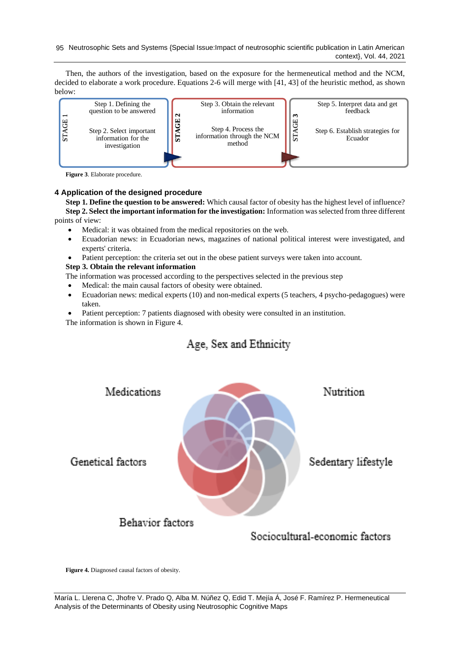95 Neutrosophic Sets and Systems {Special Issue:Impact of neutrosophic scientific publication in Latin American context}, Vol. 44, 2021

Then, the authors of the investigation, based on the exposure for the hermeneutical method and the NCM, decided to elaborate a work procedure. Equations 2-6 will merge with [\[41,](#page-9-10) [43\]](#page-9-11) of the heuristic method, as shown below:



**Figure 3**. Elaborate procedure.

## **4 Application of the designed procedure**

**Step 1. Define the question to be answered:** Which causal factor of obesity has the highest level of influence? **Step 2. Select the important information for the investigation:** Information was selected from three different points of view:

- Medical: it was obtained from the medical repositories on the web.
- Ecuadorian news: in Ecuadorian news, magazines of national political interest were investigated, and experts' criteria.
- Patient perception: the criteria set out in the obese patient surveys were taken into account.

## **Step 3. Obtain the relevant information**

The information was processed according to the perspectives selected in the previous step

- Medical: the main causal factors of obesity were obtained.
- Ecuadorian news: medical experts (10) and non-medical experts (5 teachers, 4 psycho-pedagogues) were taken.
- Patient perception: 7 patients diagnosed with obesity were consulted in an institution.

## Age, Sex and Ethnicity



**Figure 4.** Diagnosed causal factors of obesity.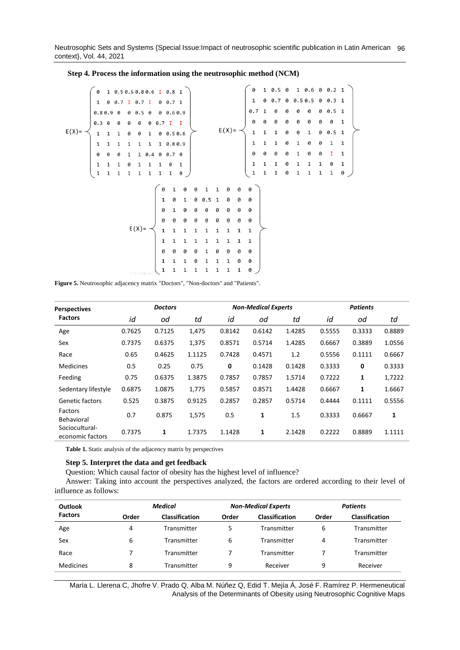Neutrosophic Sets and Systems {Special Issue:Impact of neutrosophic scientific publication in Latin American 96 context}, Vol. 44, 2021

|            |                                                                                                                                                                                         | 1 0.50.50.80.6 I 0.8 1 |         |  |               |                                                                                                                                                                                                                                                                                   |  |  |              |                                                                                                                                                                                                                                                                                                                      |  | 0 |  | $1\; 0.6\; 0\; 0.2\; 1$ |  |
|------------|-----------------------------------------------------------------------------------------------------------------------------------------------------------------------------------------|------------------------|---------|--|---------------|-----------------------------------------------------------------------------------------------------------------------------------------------------------------------------------------------------------------------------------------------------------------------------------|--|--|--------------|----------------------------------------------------------------------------------------------------------------------------------------------------------------------------------------------------------------------------------------------------------------------------------------------------------------------|--|---|--|-------------------------|--|
|            | $\overline{1}$                                                                                                                                                                          | 0 0.7 I 0.7 I          |         |  | $0 \t0.7 \t1$ |                                                                                                                                                                                                                                                                                   |  |  |              |                                                                                                                                                                                                                                                                                                                      |  |   |  |                         |  |
|            | $0.80.9$ 0                                                                                                                                                                              |                        | 0 0.5 0 |  | 0.60.9        |                                                                                                                                                                                                                                                                                   |  |  |              |                                                                                                                                                                                                                                                                                                                      |  |   |  |                         |  |
|            |                                                                                                                                                                                         |                        |         |  |               |                                                                                                                                                                                                                                                                                   |  |  |              |                                                                                                                                                                                                                                                                                                                      |  |   |  |                         |  |
| $E(X) = -$ |                                                                                                                                                                                         |                        |         |  |               |                                                                                                                                                                                                                                                                                   |  |  |              |                                                                                                                                                                                                                                                                                                                      |  |   |  |                         |  |
|            | $\begin{array}{ cccccccccccc }\hline 0.3 & 0 & 0 & 0 & 0 & 0 & 0.7 & 1 & 1 \ \hline 1 & 1 & 1 & 0 & 0 & 1 & 0 & 0.5 & 0.6 \ 1 & 1 & 1 & 1 & 1 & 1 & 1 & 0.8 & 0.9 \ \hline \end{array}$ |                        |         |  |               |                                                                                                                                                                                                                                                                                   |  |  |              |                                                                                                                                                                                                                                                                                                                      |  |   |  |                         |  |
|            |                                                                                                                                                                                         | 0 0 0 1 1 0.4 0 0.7 0  |         |  |               |                                                                                                                                                                                                                                                                                   |  |  |              |                                                                                                                                                                                                                                                                                                                      |  |   |  |                         |  |
|            |                                                                                                                                                                                         |                        |         |  |               | $\begin{array}{cccccccccccc} 1 & 1 & 1 & 0 & 1 & 1 & 1 & 0 & 1 \\ 1 & 1 & 1 & 1 & 1 & 1 & 1 & 1 & 0 \end{array}$                                                                                                                                                                  |  |  |              |                                                                                                                                                                                                                                                                                                                      |  |   |  |                         |  |
|            |                                                                                                                                                                                         |                        |         |  |               |                                                                                                                                                                                                                                                                                   |  |  |              | $E(X) = \begin{pmatrix} 1 & 0 & 0.7 & 0 & 0.5 & 0.5 & 0 & 0.3 & 1 \\ 0.7 & 1 & 0 & 0 & 0 & 0 & 0 & 0.5 & 1 \\ 0 & 0 & 0 & 0 & 0 & 0 & 0 & 0 & 1 \\ 1 & 1 & 1 & 0 & 0 & 1 & 0 & 0.5 & 1 \\ 1 & 1 & 1 & 0 & 1 & 0 & 0 & 1 & 1 \\ 0 & 0 & 0 & 0 & 1 & 0 & 0 & 1 & 1 \\ 1 & 1 & 1 & 0 & 1 & 1 & 1 & 0 & 1 \end{pmatrix}$ |  |   |  |                         |  |
|            |                                                                                                                                                                                         |                        |         |  |               | $E(X) = \n\begin{cases}\n\begin{array}{cccccccc}\n0 & 1 & 0 & 0 & 1 & 1 & 0 & 0 \\ 1 & 0 & 1 & 0 & 0.5 & 1 & 0 & 0 \\ 0 & 1 & 0 & 0 & 0 & 0 & 0 & 0 \\ 0 & 0 & 0 & 0 & 0 & 0 & 0 & 0 \\ 1 & 1 & 1 & 1 & 1 & 1 & 1 & 1 \\ 1 & 1 & 1 & 1 & 1 & 1 & 1 & 1\n\end{array}\n\end{cases}$ |  |  |              | 0                                                                                                                                                                                                                                                                                                                    |  |   |  |                         |  |
|            |                                                                                                                                                                                         |                        |         |  |               |                                                                                                                                                                                                                                                                                   |  |  |              | $\theta$                                                                                                                                                                                                                                                                                                             |  |   |  |                         |  |
|            |                                                                                                                                                                                         |                        |         |  |               |                                                                                                                                                                                                                                                                                   |  |  |              |                                                                                                                                                                                                                                                                                                                      |  |   |  |                         |  |
|            |                                                                                                                                                                                         |                        |         |  |               |                                                                                                                                                                                                                                                                                   |  |  |              | 0                                                                                                                                                                                                                                                                                                                    |  |   |  |                         |  |
|            |                                                                                                                                                                                         |                        |         |  |               |                                                                                                                                                                                                                                                                                   |  |  |              | 0                                                                                                                                                                                                                                                                                                                    |  |   |  |                         |  |
|            |                                                                                                                                                                                         |                        |         |  |               |                                                                                                                                                                                                                                                                                   |  |  | $\mathbf{1}$ | $\overline{\mathbf{1}}$                                                                                                                                                                                                                                                                                              |  |   |  |                         |  |
|            |                                                                                                                                                                                         |                        |         |  |               |                                                                                                                                                                                                                                                                                   |  |  |              | $\mathbf{1}$                                                                                                                                                                                                                                                                                                         |  |   |  |                         |  |
|            |                                                                                                                                                                                         |                        |         |  |               |                                                                                                                                                                                                                                                                                   |  |  | 0            | 0                                                                                                                                                                                                                                                                                                                    |  |   |  |                         |  |
|            |                                                                                                                                                                                         |                        |         |  |               |                                                                                                                                                                                                                                                                                   |  |  | 0            | 0                                                                                                                                                                                                                                                                                                                    |  |   |  |                         |  |
|            |                                                                                                                                                                                         |                        | 0000000 |  |               |                                                                                                                                                                                                                                                                                   |  |  | $\mathbf 1$  | $\Theta$                                                                                                                                                                                                                                                                                                             |  |   |  |                         |  |

**Step 4. Process the information using the neutrosophic method (NCM)**

**Figure 5.** Neutrosophic adjacency matrix "Doctors", "Non-doctors" and "Patients".

| <b>Perspectives</b>                |        | <b>Doctors</b> |        |              | <b>Non-Medical Experts</b> |        |        | <b>Patients</b> |        |  |
|------------------------------------|--------|----------------|--------|--------------|----------------------------|--------|--------|-----------------|--------|--|
| <b>Factors</b>                     | id     | od             | td     | id           | od                         | td     | id     | od              | td     |  |
| Age                                | 0.7625 | 0.7125         | 1,475  | 0.8142       | 0.6142                     | 1.4285 | 0.5555 | 0.3333          | 0.8889 |  |
| Sex                                | 0.7375 | 0.6375         | 1,375  | 0.8571       | 0.5714                     | 1.4285 | 0.6667 | 0.3889          | 1.0556 |  |
| Race                               | 0.65   | 0.4625         | 1.1125 | 0.7428       | 0.4571                     | 1.2    | 0.5556 | 0.1111          | 0.6667 |  |
| <b>Medicines</b>                   | 0.5    | 0.25           | 0.75   | $\mathbf{0}$ | 0.1428                     | 0.1428 | 0.3333 | $\mathbf 0$     | 0.3333 |  |
| Feeding                            | 0.75   | 0.6375         | 1.3875 | 0.7857       | 0.7857                     | 1.5714 | 0.7222 | 1               | 1,7222 |  |
| Sedentary lifestyle                | 0.6875 | 1.0875         | 1,775  | 0.5857       | 0.8571                     | 1.4428 | 0.6667 | 1               | 1.6667 |  |
| Genetic factors                    | 0.525  | 0.3875         | 0.9125 | 0.2857       | 0.2857                     | 0.5714 | 0.4444 | 0.1111          | 0.5556 |  |
| Factors<br><b>Behavioral</b>       | 0.7    | 0.875          | 1,575  | 0.5          | 1                          | 1.5    | 0.3333 | 0.6667          | 1      |  |
| Sociocultural-<br>economic factors | 0.7375 | 1              | 1.7375 | 1.1428       | 1                          | 2.1428 | 0.2222 | 0.8889          | 1.1111 |  |

**Table 1.** Static analysis of the adjacency matrix by perspectives

### **Step 5. Interpret the data and get feedback**

Question: Which causal factor of obesity has the highest level of influence?

Answer: Taking into account the perspectives analyzed, the factors are ordered according to their level of influence as follows:

| <b>Outlook</b>   |       | Medical               |       | <b>Non-Medical Experts</b> | <b>Patients</b> |                       |  |
|------------------|-------|-----------------------|-------|----------------------------|-----------------|-----------------------|--|
| <b>Factors</b>   | Order | <b>Classification</b> | Order | <b>Classification</b>      | Order           | <b>Classification</b> |  |
| Age              | 4     | Transmitter           | 5     | Transmitter                | 6               | Transmitter           |  |
| Sex              | 6     | Transmitter           | 6     | Transmitter                | 4               | Transmitter           |  |
| Race             |       | Transmitter           |       | Transmitter                |                 | Transmitter           |  |
| <b>Medicines</b> | 8     | Transmitter           | 9     | Receiver                   | 9               | Receiver              |  |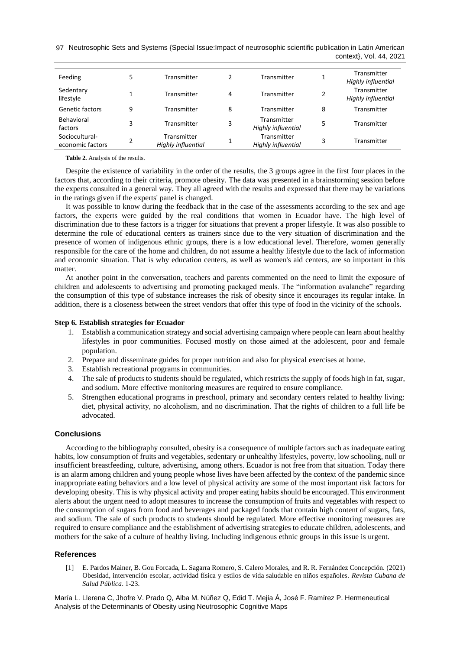97 Neutrosophic Sets and Systems {Special Issue:Impact of neutrosophic scientific publication in Latin American context}, Vol. 44, 2021

| Feeding                            | 5 | Transmitter                       |   | Transmitter                       | 1 | Transmitter<br>Highly influential |
|------------------------------------|---|-----------------------------------|---|-----------------------------------|---|-----------------------------------|
| Sedentary<br>lifestyle             |   | Transmitter                       | 4 | Transmitter                       | 2 | Transmitter<br>Highly influential |
| Genetic factors                    | 9 | Transmitter                       | 8 | Transmitter                       | 8 | Transmitter                       |
| Behavioral<br>factors              | 3 | Transmitter                       | 3 | Transmitter<br>Highly influential | 5 | Transmitter                       |
| Sociocultural-<br>economic factors | 2 | Transmitter<br>Highly influential | 1 | Transmitter<br>Highly influential | 3 | Transmitter                       |

**Table 2.** Analysis of the results.

Despite the existence of variability in the order of the results, the 3 groups agree in the first four places in the factors that, according to their criteria, promote obesity. The data was presented in a brainstorming session before the experts consulted in a general way. They all agreed with the results and expressed that there may be variations in the ratings given if the experts' panel is changed.

It was possible to know during the feedback that in the case of the assessments according to the sex and age factors, the experts were guided by the real conditions that women in Ecuador have. The high level of discrimination due to these factors is a trigger for situations that prevent a proper lifestyle. It was also possible to determine the role of educational centers as trainers since due to the very situation of discrimination and the presence of women of indigenous ethnic groups, there is a low educational level. Therefore, women generally responsible for the care of the home and children, do not assume a healthy lifestyle due to the lack of information and economic situation. That is why education centers, as well as women's aid centers, are so important in this matter.

At another point in the conversation, teachers and parents commented on the need to limit the exposure of children and adolescents to advertising and promoting packaged meals. The "information avalanche" regarding the consumption of this type of substance increases the risk of obesity since it encourages its regular intake. In addition, there is a closeness between the street vendors that offer this type of food in the vicinity of the schools.

### **Step 6. Establish strategies for Ecuador**

- 1. Establish a communication strategy and social advertising campaign where people can learn about healthy lifestyles in poor communities. Focused mostly on those aimed at the adolescent, poor and female population.
- 2. Prepare and disseminate guides for proper nutrition and also for physical exercises at home.
- 3. Establish recreational programs in communities.
- 4. The sale of products to students should be regulated, which restricts the supply of foods high in fat, sugar, and sodium. More effective monitoring measures are required to ensure compliance.
- 5. Strengthen educational programs in preschool, primary and secondary centers related to healthy living: diet, physical activity, no alcoholism, and no discrimination. That the rights of children to a full life be advocated.

### **Conclusions**

According to the bibliography consulted, obesity is a consequence of multiple factors such as inadequate eating habits, low consumption of fruits and vegetables, sedentary or unhealthy lifestyles, poverty, low schooling, null or insufficient breastfeeding, culture, advertising, among others. Ecuador is not free from that situation. Today there is an alarm among children and young people whose lives have been affected by the context of the pandemic since inappropriate eating behaviors and a low level of physical activity are some of the most important risk factors for developing obesity. This is why physical activity and proper eating habits should be encouraged. This environment alerts about the urgent need to adopt measures to increase the consumption of fruits and vegetables with respect to the consumption of sugars from food and beverages and packaged foods that contain high content of sugars, fats, and sodium. The sale of such products to students should be regulated. More effective monitoring measures are required to ensure compliance and the establishment of advertising strategies to educate children, adolescents, and mothers for the sake of a culture of healthy living. Including indigenous ethnic groups in this issue is urgent.

### **References**

<span id="page-7-0"></span>[1] E. Pardos Mainer, B. Gou Forcada, L. Sagarra Romero, S. Calero Morales, and R. R. Fernández Concepción. (2021) Obesidad, intervención escolar, actividad física y estilos de vida saludable en niños españoles. *Revista Cubana de Salud Pública*. 1-23.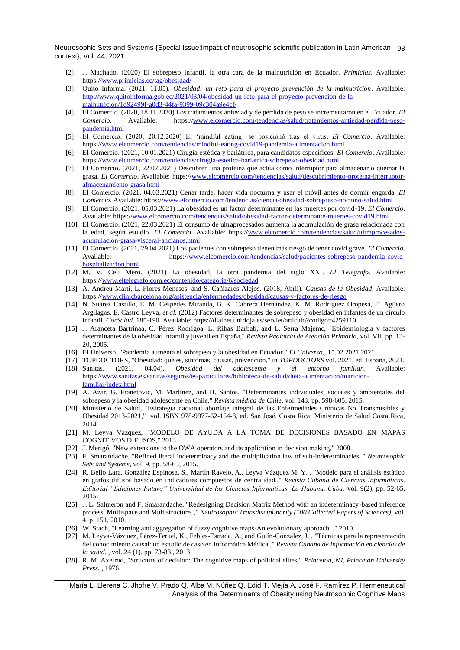Neutrosophic Sets and Systems {Special Issue:Impact of neutrosophic scientific publication in Latin American 98 context}, Vol. 44, 2021

- <span id="page-8-0"></span>[2] J. Machado. (2020) El sobrepeso infantil, la otra cara de la malnutrición en Ecuador. *Primicias*. Available: https:/[/www.primicias.ec/tag/obesidad/](http://www.primicias.ec/tag/obesidad/)
- <span id="page-8-4"></span>[3] Quito Informa. (2021, 11.05). *Obesidad: un reto para el proyecto prevención de la malnutrición*. Available: [http://www.quitoinforma.gob.ec/2021/03/04/obesidad-un-reto-para-el-proyecto-prevencion-de-la](http://www.quitoinforma.gob.ec/2021/03/04/obesidad-un-reto-para-el-proyecto-prevencion-de-la-malnutricion/1d92499f-a0d3-44fa-9399-09c304a9e4cf/)[malnutricion/1d92499f-a0d3-44fa-9399-09c304a9e4cf/](http://www.quitoinforma.gob.ec/2021/03/04/obesidad-un-reto-para-el-proyecto-prevencion-de-la-malnutricion/1d92499f-a0d3-44fa-9399-09c304a9e4cf/)
- [4] El Comercio. (2020, 18.11.2020) Los tratamientos antiedad y de pérdida de peso se incrementaron en el Ecuador. *El Comercio*. Available: https:/[/www.elcomercio.com/tendencias/salud/tratamientos-antiedad-perdida-peso](http://www.elcomercio.com/tendencias/salud/tratamientos-antiedad-perdida-peso-pandemia.html)[pandemia.html](http://www.elcomercio.com/tendencias/salud/tratamientos-antiedad-perdida-peso-pandemia.html)
- [5] El Comercio. (2020, 20.12.2020) El 'mindful eating' se posicionó tras el virus. *El Comercio*. Available: https:/[/www.elcomercio.com/tendencias/mindful-eating-covid19-pandemia-alimentacion.html](http://www.elcomercio.com/tendencias/mindful-eating-covid19-pandemia-alimentacion.html)
- [6] El Comercio. (2021, 10.01.2021) Cirugía estética y bariátrica, para candidatos específicos. *El Comercio*. Available: https:/[/www.elcomercio.com/tendencias/cirugia-estetica-bariatrica-sobrepeso-obesidad.html](http://www.elcomercio.com/tendencias/cirugia-estetica-bariatrica-sobrepeso-obesidad.html)
- [7] El Comercio. (2021, 22.02.2021) Descubren una proteína que actúa como interruptor para almacenar o quemar la grasa. *El Comercio*. Available: https:/[/www.elcomercio.com/tendencias/salud/descubrimiento-proteina-interruptor](http://www.elcomercio.com/tendencias/salud/descubrimiento-proteina-interruptor-almacenamiento-grasa.html)[almacenamiento-grasa.html](http://www.elcomercio.com/tendencias/salud/descubrimiento-proteina-interruptor-almacenamiento-grasa.html)
- [8] El Comercio. (2021, 04.03.2021) Cenar tarde, hacer vida nocturna y usar el móvil antes de dormir engorda. *El Comercio*. Available: https:[//www.elcomercio.com/tendencias/ciencia/obesidad-sobrepreso-noctuno-salud.html](http://www.elcomercio.com/tendencias/ciencia/obesidad-sobrepreso-noctuno-salud.html)
- [9] El Comercio. (2021, 05.03.2021) La obesidad es un factor determinante en las muertes por covid-19. *El Comercio*. Available: https:[//www.elcomercio.com/tendencias/salud/obesidad-factor-determinante-muertes-covid19.html](http://www.elcomercio.com/tendencias/salud/obesidad-factor-determinante-muertes-covid19.html)
- [10] El Comercio. (2021, 22.03.2021) El consumo de ultraprocesados aumenta la acumulación de grasa relacionada con la edad, según estudio. *El Comercio*. Available: https:/[/www.elcomercio.com/tendencias/salud/ultraprocesados](http://www.elcomercio.com/tendencias/salud/ultraprocesados-acumulacion-grasa-visceral-ancianos.html)[acumulacion-grasa-visceral-ancianos.html](http://www.elcomercio.com/tendencias/salud/ultraprocesados-acumulacion-grasa-visceral-ancianos.html)
- [11] El Comercio. (2021, 29.04.2021) Los pacientes con sobrepeso tienen más riesgo de tener covid grave. *El Comercio*. Available: https:/[/www.elcomercio.com/tendencias/salud/pacientes-sobrepeso-pandemia-covid](http://www.elcomercio.com/tendencias/salud/pacientes-sobrepeso-pandemia-covid-hospitalizacion.html)[hospitalizacion.html](http://www.elcomercio.com/tendencias/salud/pacientes-sobrepeso-pandemia-covid-hospitalizacion.html)
- <span id="page-8-1"></span>[12] M. V. Celi Mero. (2021) La obesidad, la otra pandemia del siglo XXI. *El Telégrafo*. Available: https:/[/www.eltelegrafo.com.ec/contenido/categoria/6/sociedad](http://www.eltelegrafo.com.ec/contenido/categoria/6/sociedad)
- <span id="page-8-2"></span>[13] A. Andreu Martí, L. Flores Meneses, and S. Cañizares Alejos. (2018, Abril). *Causas de la Obesidad*. Available: https:/[/www.clinicbarcelona.org/asistencia/enfermedades/obesidad/causas-y-factores-de-riesgo](http://www.clinicbarcelona.org/asistencia/enfermedades/obesidad/causas-y-factores-de-riesgo)
- <span id="page-8-3"></span>[14] N. Suárez Castillo, E. M. Céspedes Miranda, B. K. Cabrera Hernández, K. M. Rodríguez Oropesa, E. Agüero Argilagos, E. Castro Leyva*, et al.* (2012) Factores determinantes de sobrepeso y obesidad en infantes de un círculo infantil. *CorSalud*. 185-190. Available: https://dialnet.unirioja.es/servlet/articulo?codigo=4259110
- [15] J. Aranceta Bartrinaa, C. Pérez Rodrigoa, L. Ribas Barbab, and L. Serra Majemc, "Epidemiología y factores determinantes de la obesidad infantil y juvenil en España," *Revista Pediatría de Atención Primaria,* vol. VII, pp. 13- 20, 2005.
- [16] El Universo, "Pandemia aumenta el sobrepeso y la obesidad en Ecuador " *El Universo,,* 15.02.2021 2021.
- [17] TOPDOCTORS, "Obesidad: qué es, síntomas, causas, prevención," in *TOPDOCTORS* vol. 2021, ed. España, 2021. [18] Sanitas. (2021, 04.04). *Obesidad del adolescente y el entorno familiar*. Available: https:/[/www.sanitas.es/sanitas/seguros/es/particulares/biblioteca-de-salud/dieta-alimentacion/nutricion](http://www.sanitas.es/sanitas/seguros/es/particulares/biblioteca-de-salud/dieta-alimentacion/nutricion-familiar/index.html)[familiar/index.html](http://www.sanitas.es/sanitas/seguros/es/particulares/biblioteca-de-salud/dieta-alimentacion/nutricion-familiar/index.html)
- <span id="page-8-5"></span>[19] A. Azar, G. Franetovic, M. Martínez, and H. Santos, "Determinantes individuales, sociales y ambientales del sobrepeso y la obesidad adolescente en Chile," *Revista médica de Chile,* vol. 143, pp. 598-605, 2015.
- <span id="page-8-6"></span>[20] Ministerio de Salud, "Estrategia nacional abordaje integral de las Enfermedades Crónicas No Transmisibles y Obesidad 2013-2021," vol. ISBN 978-9977-62-154-8, ed. San José, Costa Rica: Ministerio de Salud Costa Rica, 2014.
- <span id="page-8-7"></span>[21] M. Leyva Vázquez, "MODELO DE AYUDA A LA TOMA DE DECISIONES BASADO EN MAPAS COGNITIVOS DIFUSOS," 2013.
- [22] J. Merigó, "New extensions to the OWA operators and its application in decision making," 2008.
- <span id="page-8-12"></span>[23] F. Smarandache, "Refined literal indeterminacy and the multiplication law of sub-indeterminacies.," *Neutrosophic Sets and Systems,* vol. 9, pp. 58-63, 2015.
- <span id="page-8-11"></span>[24] R. Bello Lara, González Espinosa, S., Martín Ravelo, A., Leyva Vázquez M. Y. , "Modelo para el análisis estático en grafos difusos basado en indicadores compuestos de centralidad.," *Revista Cubana de Ciencias Informáticas. Editorial "Ediciones Futuro" Universidad de las Ciencias Informáticas. La Habana, Cuba,* vol. 9(2), pp. 52-65, 2015.
- <span id="page-8-10"></span>[25] J. L. Salmeron and F. Smarandache, "Redesigning Decision Matrix Method with an indeterminacy-based inference process. Multispace and Multistructure. ," *Neutrosophic Transdisciplinarity (100 Collected Papers of Sciences),* vol. 4, p. 151, 2010.
- <span id="page-8-9"></span>[26] W. Stach, "Learning and aggregation of fuzzy cognitive maps-An evolutionary approach. ," 2010.
- [27] M. Leyva-Vázquez, Pérez-Teruel, K., Febles-Estrada, A., and Gulín-González, J. , "Técnicas para la representación del conocimiento causal: un estudio de caso en Informática Médica.," *Revista Cubana de información en ciencias de la salud, ,* vol. 24 (1), pp. 73-83., 2013.
- <span id="page-8-8"></span>[28] R. M. Axelrod, "Structure of decision: The cognitive maps of political elites," *Princeton, NJ, Princeton University Press. ,* 1976.